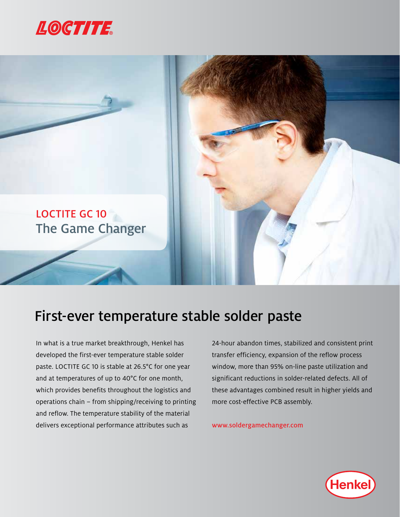



## First-ever temperature stable solder paste

In what is a true market breakthrough, Henkel has developed the first-ever temperature stable solder paste. LOCTITE GC 10 is stable at 26.5°C for one year and at temperatures of up to 40°C for one month, which provides benefits throughout the logistics and operations chain – from shipping/receiving to printing and reflow. The temperature stability of the material delivers exceptional performance attributes such as

24-hour abandon times, stabilized and consistent print transfer efficiency, expansion of the reflow process window, more than 95% on-line paste utilization and significant reductions in solder-related defects. All of these advantages combined result in higher yields and more cost-effective PCB assembly.

www.soldergamechanger.com